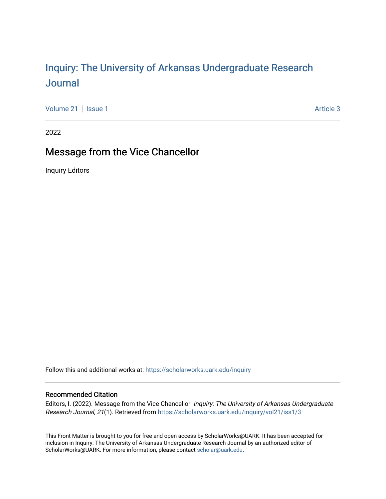## Inquiry: The Univ[ersity of Arkansas Undergraduate Resear](https://scholarworks.uark.edu/inquiry)ch [Journal](https://scholarworks.uark.edu/inquiry)

[Volume 21](https://scholarworks.uark.edu/inquiry/vol21) | [Issue 1](https://scholarworks.uark.edu/inquiry/vol21/iss1) Article 3

2022

## Message from the Vice Chancellor

Inquiry Editors

Follow this and additional works at: [https://scholarworks.uark.edu/inquiry](https://scholarworks.uark.edu/inquiry?utm_source=scholarworks.uark.edu%2Finquiry%2Fvol21%2Fiss1%2F3&utm_medium=PDF&utm_campaign=PDFCoverPages)

## Recommended Citation

Editors, I. (2022). Message from the Vice Chancellor. Inquiry: The University of Arkansas Undergraduate Research Journal, 21(1). Retrieved from [https://scholarworks.uark.edu/inquiry/vol21/iss1/3](https://scholarworks.uark.edu/inquiry/vol21/iss1/3?utm_source=scholarworks.uark.edu%2Finquiry%2Fvol21%2Fiss1%2F3&utm_medium=PDF&utm_campaign=PDFCoverPages) 

This Front Matter is brought to you for free and open access by ScholarWorks@UARK. It has been accepted for inclusion in Inquiry: The University of Arkansas Undergraduate Research Journal by an authorized editor of ScholarWorks@UARK. For more information, please contact [scholar@uark.edu](mailto:scholar@uark.edu).